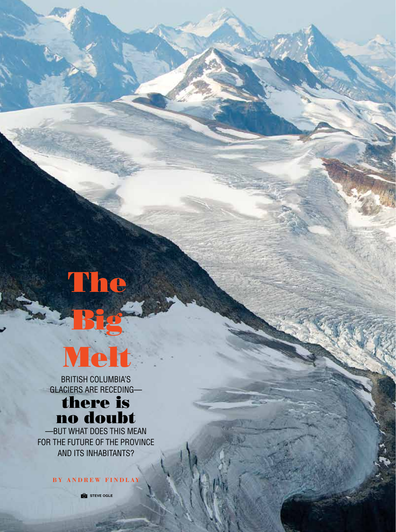## The



Big State

British Columbia's glaciers are receding—

## there is no doubt

-BUT WHAT DOES THIS MEAN for the future of the province and its inhabitants?

**B y A n d r e w F i n d l ay**

**STEVE OGLE** 

62 • B C m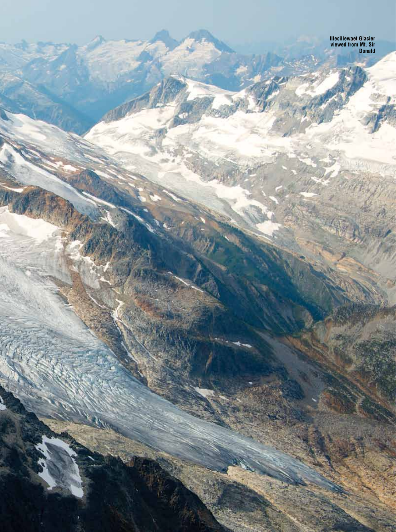**Illecillewaet Glacier viewed from Mt. Sir Donald**

B C m • 6 3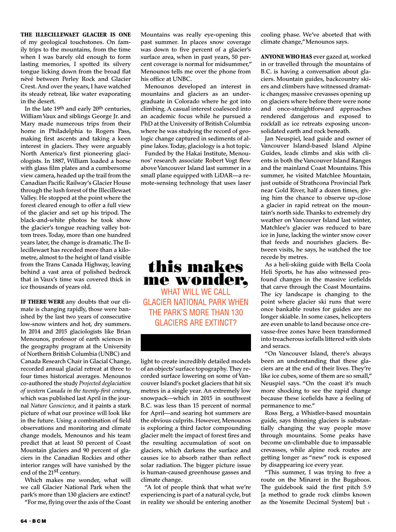The Illecillewaet Glacier is one of my geological touchstones. On family trips to the mountains, from the time when I was barely old enough to form lasting memories, I spotted its silvery tongue licking down from the broad flat névé between Perley Rock and Glacier Crest. And over the years, I have watched its steady retreat, like water evaporating in the desert.

In the late 19th and early 20th centuries, William Vaux and siblings George Jr. and Mary made numerous trips from their home in Philadelphia to Rogers Pass, making first ascents and taking a keen interest in glaciers. They were arguably North America's first pioneering glaciologists. In 1887, William loaded a horse with glass film plates and a cumbersome view camera, headed up the trail from the Canadian Pacific Railway's Glacier House through the lush forest of the Illecillewaet Valley. He stopped at the point where the forest cleared enough to offer a full view of the glacier and set up his tripod. The black-and-white photos he took show the glacier's tongue reaching valley bottom trees. Today, more than one hundred years later, the change is dramatic. The Illecillewaet has receded more than a kilometre, almost to the height of land visible from the Trans Canada Highway, leaving behind a vast area of polished bedrock that in Vaux's time was covered thick in ice thousands of years old.

IF THERE WERE any doubts that our climate is changing rapidly, those were banished by the last two years of consecutive low-snow winters and hot, dry summers. In 2014 and 2015 glaciologists like Brian Menounos, professor of earth sciences in the geography program at the University of Northern British Columbia (UNBC) and Canada Research Chair in Glacial Change, recorded annual glacial retreat at three to four times historical averages. Menounos co-authored the study *Projected deglaciation of western Canada in the twenty-first century*, which was published last April in the journal *Nature Geoscience*, and it paints a stark picture of what our province will look like in the future. Using a combination of field observations and monitoring and climate change models, Menounos and his team predict that at least 50 percent of Coast Mountain glaciers and 90 percent of glaciers in the Canadian Rockies and other interior ranges will have vanished by the end of the  $21$ <sup>st</sup> century.

Which makes me wonder, what will we call Glacier National Park when the park's more than 130 glaciers are extinct?

"For me, flying over the axis of the Coast

Mountains was really eye-opening this past summer. In places snow coverage was down to five percent of a glacier's surface area, when in past years, 50 percent coverage is normal for midsummer," Menounos tells me over the phone from his office at UNBC.

Menounos developed an interest in mountains and glaciers as an undergraduate in Colorado where he got into climbing. A casual interest coalesced into an academic focus while he pursued a PhD at the University of British Columbia where he was studying the record of geologic change captured in sediments of alpine lakes. Today, glaciology is a hot topic.

Funded by the Hakai Institute, Menounos' research associate Robert Vogt flew above Vancouver Island last summer in a small plane equipped with LiDAR—a remote-sensing technology that uses laser

## this makes me wonder, WHAT WILL WE CALL Glacier National Park when the park's more than 130 glaciers are extinct?

light to create incredibly detailed models of an objects' surface topography. They recorded surface lowering on some of Vancouver Island's pocket glaciers that hit six metres in a single year. An extremely low snowpack—which in 2015 in southwest B.C. was less than 15 percent of normal for April—and searing hot summers are the obvious culprits. However, Menounos is exploring a third factor compounding glacier melt: the impact of forest fires and the resulting accumulation of soot on glaciers, which darkens the surface and causes ice to absorb rather than reflect solar radiation. The bigger picture issue is human-caused greenhouse gasses and climate change.

"A lot of people think that what we're experiencing is part of a natural cycle, but in reality we should be entering another

cooling phase. We've aborted that with climate change," Menounos says.

Anyone who has ever gazed at, worked in or travelled through the mountains of B.C. is having a conversation about glaciers. Mountain guides, backcountry skiers and climbers have witnessed dramatic changes; massive crevasses opening up on glaciers where before there were none and once-straightforward approaches rendered dangerous and exposed to rockfall as ice retreats exposing unconsolidated earth and rock beneath.

Jan Neuspiel, lead guide and owner of Vancouver Island-based Island Alpine Guides, leads climbs and skis with clients in both the Vancouver Island Ranges and the mainland Coast Mountains. This summer, he visited Matchlee Mountain, just outside of Strathcona Provincial Park near Gold River, half a dozen times, giving him the chance to observe up-close a glacier in rapid retreat on the mountain's north side. Thanks to extremely dry weather on Vancouver Island last winter, Matchlee's glacier was reduced to bare ice in June, lacking the winter snow cover that feeds and nourishes glaciers. Between visits, he says, he watched the toe recede by metres.

As a heli-skiing guide with Bella Coola Heli Sports, he has also witnessed profound changes in the massive icefields that carve through the Coast Mountains. The icy landscape is changing to the point where glacier ski runs that were once bankable routes for guides are no longer skiable. In some cases, helicopters are even unable to land because once crevasse-free zones have been transformed into treacherous icefalls littered with slots and seracs.

"On Vancouver Island, there's always been an understanding that these glaciers are at the end of their lives. They're like ice cubes, some of them are so small," Neuspiel says. "On the coast it's much more shocking to see the rapid change because these icefields have a feeling of permanence to me."

Ross Berg, a Whistler-based mountain guide, says thinning glaciers is substantially changing the way people move through mountains. Some peaks have become un-climbable due to impassable crevasses, while alpine rock routes are getting longer as "new" rock is exposed by disappearing ice every year.

"This summer, I was trying to free a route on the Minaret in the Bugaboos. The guidebook said the first pitch 5.9 [a method to grade rock climbs known as the Yosemite Decimal System] but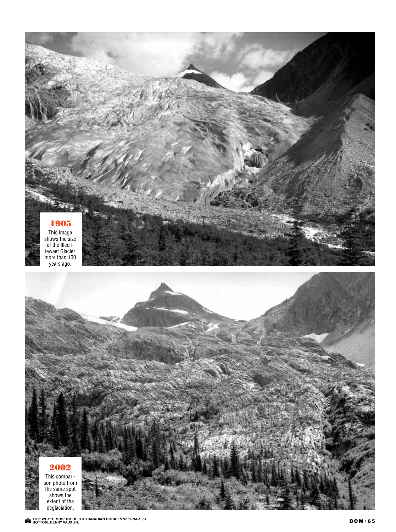